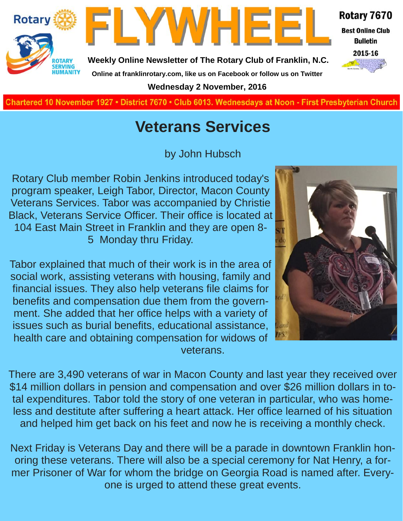



**Weekly Online Newsletter of The Rotary Club of Franklin, N.C. Online at franklinrotary.com, like us on Facebook or follow us on Twitter**

**Wednesday 2 November, 2016**



## **Veterans Services**

by John Hubsch

Rotary Club member Robin Jenkins introduced today's program speaker, Leigh Tabor, Director, Macon County Veterans Services. Tabor was accompanied by Christie Black, Veterans Service Officer. Their office is located at 104 East Main Street in Franklin and they are open 8- 5 Monday thru Friday.

Tabor explained that much of their work is in the area of social work, assisting veterans with housing, family and financial issues. They also help veterans file claims for benefits and compensation due them from the government. She added that her office helps with a variety of issues such as burial benefits, educational assistance, health care and obtaining compensation for widows of veterans.

There are 3,490 veterans of war in Macon County and last year they received over \$14 million dollars in pension and compensation and over \$26 million dollars in total expenditures. Tabor told the story of one veteran in particular, who was homeless and destitute after suffering a heart attack. Her office learned of his situation and helped him get back on his feet and now he is receiving a monthly check.

Next Friday is Veterans Day and there will be a parade in downtown Franklin honoring these veterans. There will also be a special ceremony for Nat Henry, a former Prisoner of War for whom the bridge on Georgia Road is named after. Everyone is urged to attend these great events.



Rotary 7670

**Best Online Club Bulletin** 2015-16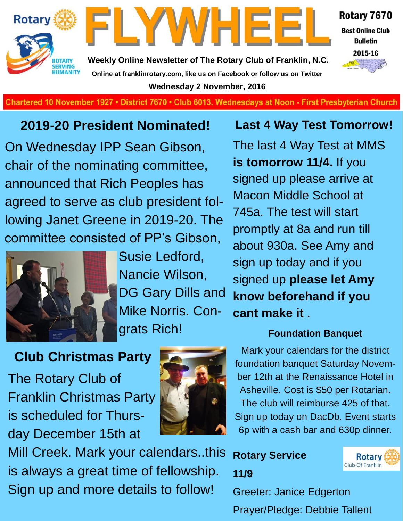



**Weekly Online Newsletter of The Rotary Club of Franklin, N.C. Online at franklinrotary.com, like us on Facebook or follow us on Twitter Wednesday 2 November, 2016**



2015-16



**Charted November 29, 1927 • District 7670 • Club 6013 Wednesdays at Noon - First Presbyterian Church**

### **2019-20 President Nominated!**

On Wednesday IPP Sean Gibson, chair of the nominating committee, announced that Rich Peoples has agreed to serve as club president following Janet Greene in 2019-20. The committee consisted of PP's Gibson,



Susie Ledford, Nancie Wilson, DG Gary Dills and Mike Norris. Congrats Rich!

### **Club Christmas Party**

The Rotary Club of Franklin Christmas Party is scheduled for Thursday December 15th at



Mill Creek. Mark your calendars..this is always a great time of fellowship. Sign up and more details to follow!

#### **Last 4 Way Test Tomorrow!**

The last 4 Way Test at MMS **is tomorrow 11/4.** If you signed up please arrive at Macon Middle School at 745a. The test will start promptly at 8a and run till about 930a. See Amy and sign up today and if you signed up **please let Amy know beforehand if you cant make it** .

#### **Foundation Banquet**

Mark your calendars for the district foundation banquet Saturday November 12th at the Renaissance Hotel in Asheville. Cost is \$50 per Rotarian. The club will reimburse 425 of that. Sign up today on DacDb. Event starts 6p with a cash bar and 630p dinner.

### **Rotary Service 11/9**



Greeter: Janice Edgerton Prayer/Pledge: Debbie Tallent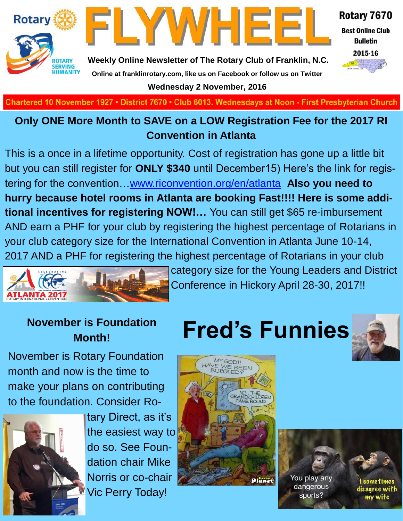



Rotary 7670

**Best Online Club Bulletin** 



**Weekly Online Newsletter of The Rotary Club of Franklin, N.C. Online at franklinrotary.com, like us on Facebook or follow us on Twitter**

**Wednesday 2 November, 2016**

**Charted November 29, 1927 • District 7670 • Club 6013 Wednesdays at Noon - First Presbyterian Church**

#### **Only ONE More Month to SAVE on a LOW Registration Fee for the 2017 RI Convention in Atlanta**

This is a once in a lifetime opportunity. Cost of registration has gone up a little bit but you can still register for **ONLY \$340** until December15) Here's the link for registering for the convention…[www.riconvention.org/en/atlanta](http://www.riconvention.org/en/atlanta) **Also you need to hurry because hotel rooms in Atlanta are booking Fast!!!! Here is some additional incentives for registering NOW!…** You can still get \$65 re-imbursement AND earn a PHF for your club by registering the highest percentage of Rotarians in your club category size for the International Convention in Atlanta June 10-14, 2017 AND a PHF for registering the highest percentage of Rotarians in your club



category size for the Young Leaders and District Conference in Hickory April 28-30, 2017!!

# **Month!**

November is Rotary Foundation month and now is the time to make your plans on contributing to the foundation. Consider Ro-



tary Direct, as it's the easiest way to do so. See Foundation chair Mike Norris or co-chair Vic Perry Today!

## **November is Foundation Fred's Funnies**





You play any dangerous sports?

I some times disagree with my wife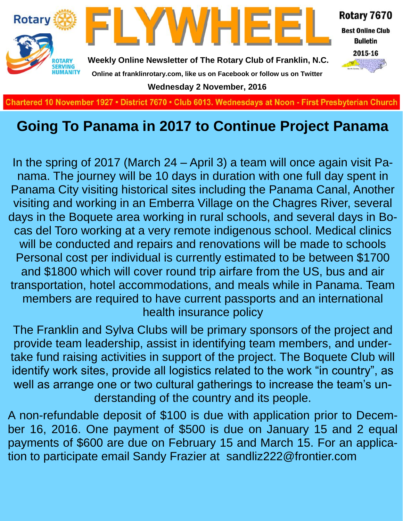

## **Going To Panama in 2017 to Continue Project Panama**

In the spring of 2017 (March 24 – April 3) a team will once again visit Panama. The journey will be 10 days in duration with one full day spent in Panama City visiting historical sites including the Panama Canal, Another visiting and working in an Emberra Village on the Chagres River, several days in the Boquete area working in rural schools, and several days in Bocas del Toro working at a very remote indigenous school. Medical clinics will be conducted and repairs and renovations will be made to schools Personal cost per individual is currently estimated to be between \$1700 and \$1800 which will cover round trip airfare from the US, bus and air transportation, hotel accommodations, and meals while in Panama. Team members are required to have current passports and an international health insurance policy

The Franklin and Sylva Clubs will be primary sponsors of the project and provide team leadership, assist in identifying team members, and undertake fund raising activities in support of the project. The Boquete Club will identify work sites, provide all logistics related to the work "in country", as well as arrange one or two cultural gatherings to increase the team's understanding of the country and its people.

A non-refundable deposit of \$100 is due with application prior to December 16, 2016. One payment of \$500 is due on January 15 and 2 equal payments of \$600 are due on February 15 and March 15. For an application to participate email Sandy Frazier at sandliz222@frontier.com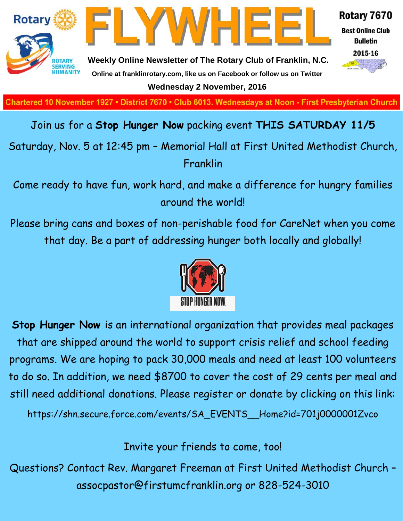

**Charted November 29, 1927 • District 7670 • Club 6013 Wednesdays at Noon - First Presbyterian Church**

#### Join us for a **Stop Hunger Now** packing event **THIS SATURDAY 11/5**

Saturday, Nov. 5 at 12:45 pm – Memorial Hall at First United Methodist Church, Franklin

Come ready to have fun, work hard, and make a difference for hungry families around the world!

Please bring cans and boxes of non-perishable food for CareNet when you come that day. Be a part of addressing hunger both locally and globally!



**Stop Hunger Now** is an international organization that provides meal packages that are shipped around the world to support crisis relief and school feeding programs. We are hoping to pack 30,000 meals and need at least 100 volunteers to do so. In addition, we need \$8700 to cover the cost of 29 cents per meal and still need additional donations. Please register or donate by clicking on this link:

https://shn.secure.force.com/events/SA\_EVENTS\_\_Home?id=701j0000001Zvco

Invite your friends to come, too!

Questions? Contact Rev. Margaret Freeman at First United Methodist Church – assocpastor@firstumcfranklin.org or 828-524-3010